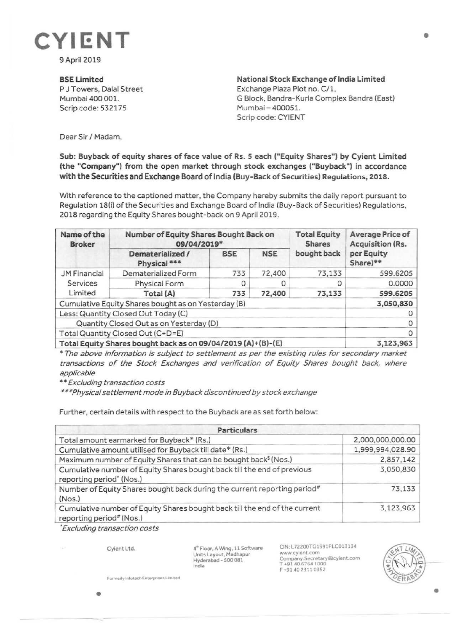

9April 2019

**BSELimited** 

P J Towers, Dalal Street Mumbai 400 001. Scrip code: 532175

**National Stock Exchange of India Limited**  Exchange Plaza Plot no. C/1. G Block, Bandra-Kurla Complex Sandra (East) Mumbai-400051. Scrip code: CYIENT

Dear Sir/ Madam,

## **Sub: Buyback of equity shares of face value of Rs. 5 each ("Equity Shares") by Cyient Limited (the "Company") from the open market through stock exchanges ("Buyback") in accordance with the Securities and Exchange Board of India (Buy-Back of Securities) Regulations, 2018.**

With reference to the captioned matter, the Company hereby submits the daily report pursuant to Regulation 18(i) of the Securities and Exchange Board of India (Buy-Back of Securities) Regulations. 2018 regarding the Equity Shares bought-back on 9 April 2019.

| Name of the<br><b>Broker</b>                                 | Number of Equity Shares Bought Back on<br>09/04/2019* |            |            | <b>Total Equity</b><br><b>Shares</b> | Average Price of<br>Acquisition (Rs. |
|--------------------------------------------------------------|-------------------------------------------------------|------------|------------|--------------------------------------|--------------------------------------|
|                                                              | Dematerialized /<br>Physical <sup>***</sup>           | <b>BSE</b> | <b>NSE</b> | bought back                          | per Equity<br>Share)**               |
| <b>JM Financial</b><br>Services<br>Limited                   | Dematerialized Form                                   | 733        | 72,400     | 73,133                               | 599.6205                             |
|                                                              | Physical Form                                         | 0          |            |                                      | 0.0000                               |
|                                                              | Total (A)                                             | 733        | 72,400     | 73,133                               | 599.6205                             |
| Cumulative Equity Shares bought as on Yesterday (B)          |                                                       |            |            |                                      | 3,050,830                            |
| Less: Quantity Closed Out Today (C)                          |                                                       |            |            |                                      |                                      |
| Quantity Closed Out as on Yesterday (D)                      |                                                       |            |            |                                      | 0                                    |
| Total Quantity Closed Out (C+D=E)                            |                                                       |            |            |                                      | 0                                    |
| Total Equity Shares bought back as on 09/04/2019 (A)+(B)-(E) |                                                       |            |            |                                      | 3,123,963                            |

\* The above information is subject to settlement as per the existing rules for secondary market transactions of the Stock Exchanges and verification of Equity Shares bought back, where applicable

\*\* Excluding transaction costs

\*\*\*Physical settlement mode in Buyback discontinued by stock exchange

Further, certain details with respect to the Buyback are as set forth below:

| <b>Particulars</b>                                                                                              |                  |  |  |  |
|-----------------------------------------------------------------------------------------------------------------|------------------|--|--|--|
| Total amount earmarked for Buyback* (Rs.)                                                                       | 2,000,000,000.00 |  |  |  |
| Cumulative amount utilised for Buyback till date* (Rs.)                                                         | 1,999,994,028.90 |  |  |  |
| Maximum number of Equity Shares that can be bought back <sup>§</sup> (Nos.)                                     | 2,857,142        |  |  |  |
| Cumulative number of Equity Shares bought back till the end of previous<br>reporting period <sup>^</sup> (Nos.) | 3,050,830        |  |  |  |
| Number of Equity Shares bought back during the current reporting period <sup>#</sup><br>(Nos.)                  | 73,133           |  |  |  |
| Cumulative number of Equity Shares bought back till the end of the current<br>reporting period# (Nos.)          | 3,123,963        |  |  |  |

• Excluding transaction costs

Cyient Ltd.

**4"'** Floor, **A** Wing, 11 Software Units Layout, Madhapur Hyderabad - 500 081 India

CIN:L72200TG1991PLC013134 www.cylent.com Company.Secretary@cyient.com<br>T +91 40 6764 1000 F +91402311 0352



•

Formerly Infotoch Enterprises Limited